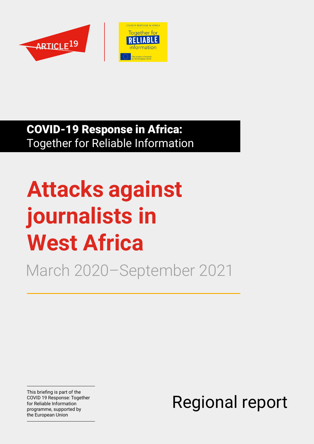



### COVID-19 Response in Africa: Together for Reliable Information

# **Attacks against journalists in West Africa**

March 2020–September 2021

This briefing is part of the COVID 19 Response: Together for Reliable Information programme, supported by the European Union

Regional report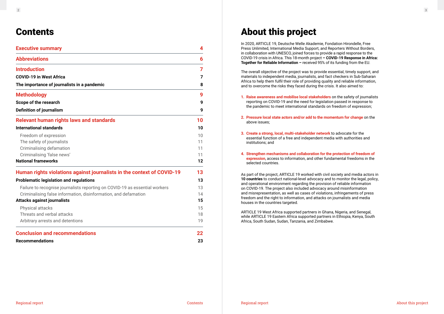#### $\frac{2}{3}$

### **Contents**

| <b>Executive summary</b>                                                    |    |
|-----------------------------------------------------------------------------|----|
| <b>Abbreviations</b>                                                        | 6  |
| <b>Introduction</b>                                                         | 7  |
| <b>COVID-19 in West Africa</b>                                              | 7  |
| The importance of journalists in a pandemic                                 | 8  |
| <b>Methodology</b>                                                          | 9  |
| Scope of the research                                                       | 9  |
| <b>Definition of journalism</b>                                             | 9  |
| <b>Relevant human rights laws and standards</b>                             | 10 |
| <b>International standards</b>                                              | 10 |
| Freedom of expression                                                       | 10 |
| The safety of journalists                                                   | 11 |
| Criminalising defamation                                                    | 11 |
| Criminalising 'false news'                                                  | 11 |
| <b>National frameworks</b>                                                  | 12 |
| Human rights violations against journalists in the context of COVID-19      | 13 |
| <b>Problematic legislation and regulations</b>                              | 13 |
| Failure to recognise journalists reporting on COVID-19 as essential workers | 13 |
| Criminalising false information, disinformation, and defamation             | 14 |
| <b>Attacks against journalists</b>                                          | 15 |
| <b>Physical attacks</b>                                                     | 15 |
| Threats and verbal attacks                                                  | 18 |
| Arbitrary arrests and detentions                                            | 19 |
| <b>Conclusion and recommendations</b>                                       | 22 |
| <b>Recommendations</b>                                                      | 23 |

## About this project

In 2020, ARTICLE 19, Deutsche Welle Akademie, Fondation Hirondelle, Free Press Unlimited, International Media Support, and Reporters Without Borders, in collaboration with UNESCO, joined forces to provide a rapid response to the COVID-19 crisis in Africa. This 18-month project **– COVID-19 Response in Africa: Together for Reliable Information –** received 95% of its funding from the EU.

The overall objective of the project was to provide essential, timely support, and materials to independent media, journalists, and fact checkers in Sub-Saharan Africa to help them fulfil their role of providing quality and reliable information, and to overcome the risks they faced during the crisis. It also aimed to:

- **1. Raise awareness and mobilise local stakeholders** on the safety of journalists reporting on COVID-19 and the need for legislation passed in response to the pandemic to meet international standards on freedom of expression;
- **2. Pressure local state actors and/or add to the momentum for change** on the above issues;
- **3. Create a strong, local, multi-stakeholder network** to advocate for the essential function of a free and independent media with authorities and institutions; and
- **4. Strengthen mechanisms and collaboration for the protection of freedom of expression**, access to information, and other fundamental freedoms in the selected countries.

As part of the project, ARTICLE 19 worked with civil society and media actors in **10 countries** to conduct national-level advocacy and to monitor the legal, policy, and operational environment regarding the provision of reliable information on COVID-19. The project also included advocacy around misinformation and misrepresentation, as well as cases of violations, infringements of press freedom and the right to information, and attacks on journalists and media houses in the countries targeted.

ARTICLE 19 West Africa supported partners in Ghana, Nigeria, and Senegal, while ARTICLE 19 Eastern Africa supported partners in Ethiopia, Kenya, South Africa, South Sudan, Sudan, Tanzania, and Zimbabwe.

About this project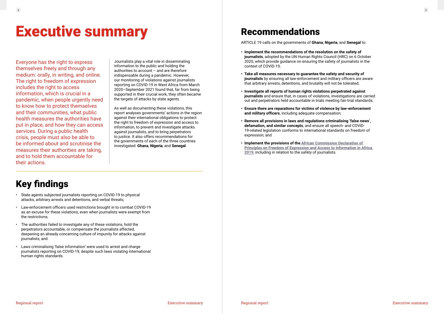# <span id="page-2-0"></span>**Executive summary Executive Summary** Recommendations

Everyone has the right to express themselves freely and through any medium: orally, in writing, and online. The right to freedom of expression includes the right to access information, which is crucial in a pandemic, when people urgently need to know how to protect themselves and their communities, what public health measures the authorities have put in place, and how they can access services. During a public health crisis, people must also be able to be informed about and scrutinise the measures their authorities are taking, and to hold them accountable for their actions.

Journalists play a vital role in disseminating information to the public and holding the authorities to account – and are therefore indispensable during a pandemic. However, our monitoring of violations against journalists reporting on COVID-19 in West Africa from March 2020–September 2021 found that, far from being supported in their crucial work, they often became the targets of attacks by state agents.

As well as documenting these violations, this report analyses governments' actions in the region against their international obligations to protect the right to freedom of expression and access to information, to prevent and investigate attacks against journalists, and to bring perpetrators to justice. It also offers recommendations for the governments of each of the three countries investigated: **Ghana**, **Nigeria**, and **Senegal**.

ARTICLE 19 calls on the governments of **Ghana**, **Nigeria**, and **Senegal** to:

- **Implement the recommendations of the resolution on the safety of journalists**, adopted by the UN Human Rights Council (HRC) on 6 October 2020, which provide guidance on ensuring the safety of journalists in the context of COVID-19;
- **Take all measures necessary to guarantee the safety and security of journalists** by ensuring all law-enforcement and military officers are aware that arbitrary arrests, detentions, and brutality will not be tolerated;
- **Investigate all reports of human rights violations perpetrated against journalists** and ensure that, in cases of violations, investigations are carried out and perpetrators held accountable in trials meeting fair-trial standards;
- **Ensure there are reparations for victims of violence by law-enforcement and military officers**, including adequate compensation;
- **Remove all provisions in laws and regulations criminalising 'false news', defamation, and similar concepts**, and ensure all speech- and COVID-19-related legislation conforms to international standards on freedom of expression; and
- **Implement the provisions of the [African Commission Declaration of](https://www.achpr.org/legalinstruments/detail?id=69)  [Principles on Freedom of Expression and Access to Information in Africa](https://www.achpr.org/legalinstruments/detail?id=69)  [2019](https://www.achpr.org/legalinstruments/detail?id=69)**, including in relation to the safety of journalists.

## Key findings

- State agents subjected journalists reporting on COVID-19 to physical attacks, arbitrary arrests and detentions, and verbal threats;
- Law-enforcement officers used restrictions brought in to combat COVID-19 as an excuse for these violations, even when journalists were exempt from the restrictions;
- The authorities failed to investigate any of these violations, hold the perpetrators accountable, or compensate the journalists affected, deepening an already concerning culture of impunity for attacks against journalists; and
- Laws criminalising 'false information' were used to arrest and charge journalists reporting on COVID-19, despite such laws violating international human rights standards.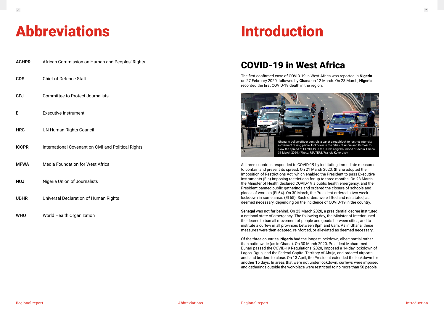# <span id="page-3-0"></span>Abbreviations Introduction

| <b>ACHPR</b> | African Commission on Human and Peoples' Rights      |
|--------------|------------------------------------------------------|
| <b>CDS</b>   | <b>Chief of Defence Staff</b>                        |
| <b>CPJ</b>   | <b>Committee to Protect Journalists</b>              |
| EI           | <b>Executive Instrument</b>                          |
| <b>HRC</b>   | <b>UN Human Rights Council</b>                       |
| <b>ICCPR</b> | International Covenant on Civil and Political Rights |
| <b>MFWA</b>  | <b>Media Foundation for West Africa</b>              |
| <b>NUJ</b>   | Nigeria Union of Journalists                         |
| <b>UDHR</b>  | <b>Universal Declaration of Human Rights</b>         |
| <b>WHO</b>   | World Health Organization                            |

### COVID-19 in West Africa

The first confirmed case of COVID-19 in West Africa was reported in **Nigeria** on 27 February 2020, followed by **Ghana** on 12 March. On 23 March, **Nigeria** recorded the first COVID-19 death in the region.

All three countries responded to COVID-19 by instituting immediate measures to contain and prevent its spread. On 21 March 2020, **Ghana** adopted the Imposition of Restrictions Act, which enabled the President to pass Executive Instruments (EIs) imposing restrictions for up to three months. On 23 March, the Minister of Health declared COVID-19 a public health emergency, and the President banned public gatherings and ordered the closure of schools and places of worship (EI 64). On 30 March, the President ordered a two-week lockdown in some areas (EI 65). Such orders were lifted and reinstated, as deemed necessary, depending on the incidence of COVID-19 in the country.

**Senegal** was not far behind. On 23 March 2020, a presidential decree instituted a national state of emergency. The following day, the Minister of Interior used the decree to ban all movement of people and goods between cities, and to institute a curfew in all provinces between 8pm and 6am. As in Ghana, these measures were then adapted, reinforced, or alleviated as deemed necessary.

Of the three countries, **Nigeria** had the longest lockdown, albeit partial rather than nationwide (as in Ghana). On 30 March 2020, President Mohammed Buhari passed the COVID-19 Regulations, 2020, imposed a 14-day lockdown of Lagos, Ogun, and the Federal Capital Territory of Abuja, and ordered airports and land borders to close. On 13 April, the President extended the lockdown for another 15 days. In areas that were not under lockdown, curfews were imposed and gatherings outside the workplace were restricted to no more than 50 people.

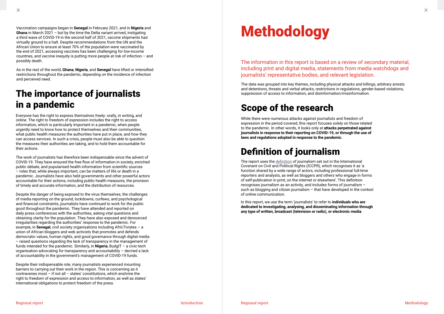## The importance of journalists in a pandemic

Everyone has the right to express themselves freely: orally, in writing, and online. The right to freedom of expression includes the right to access information, which is particularly important in a pandemic, when people urgently need to know how to protect themselves and their communities, what public health measures the authorities have put in place, and how they can access services. In such a crisis, people must also be able to question the measures their authorities are taking, and to hold them accountable for their actions.

The work of journalists has therefore been indispensable since the advent of COVID-19. They have ensured the free flow of information in society, enriched public debate, and popularised health information from scientific sources – roles that, while always important, can be matters of life or death in a pandemic. Journalists have also held governments and other powerful actors accountable for their actions, including public health measures, the provision of timely and accurate information, and the distribution of resources.

Despite the danger of being exposed to the virus themselves, the challenges of media reporting on the ground, lockdowns, curfews, and psychological and financial constraints, journalists have continued to work for the public good throughout the pandemic. They have attended and reported on daily press conferences with the authorities, asking vital questions and obtaining clarity for the population. They have also exposed and denounced irregularities regarding the authorities' response to the pandemic. For example, in **Senegal**, civil society organisations including AfricTivistes – a union of African bloggers and web activists that promotes and defends democratic values, human rights, and good governance through digital media – raised questions regarding the lack of transparency in the management of funds intended for the pandemic. Similarly, in **Nigeria**, BudgIT – a civic-tech organisation advocating for transparency and accountability – decried a lack of accountability in the government's management of COVID-19 funds.

Despite their indispensable role, many journalists experienced mounting barriers to carrying out their work in the region. This is concerning as it contravenes most – if not all – states' constitutions, which enshrine the right to freedom of expression and access to information, as well as states' international obligations to protect freedom of the press.

<span id="page-4-0"></span>Vaccination campaigns began in Senegal in February 2021, and in Nigeria and<br>Ghana in March 2021 – but by the time the Delta variant arrived, instigating<br>a third wave of COVID-19 in the essent helf of 2021 vessine shimmate **Ghana** in March 2021 – but by the time the Delta variant arrived, instigating a third wave of COVID-19 in the second half of 2021, vaccine shipments had virtually ground to a halt. Despite recommendations from the UN and the African Union to ensure at least 70% of the population were vaccinated by the end of 2021, accessing vaccines has been challenging for low-income countries, and vaccine inequity is putting more people at risk of infection  $-$  and possibly death.

## Scope of the research

While there were numerous attacks against journalists and freedom of expression in the period covered, this report focuses solely on those related to the pandemic. In other words, it looks only at **attacks perpetrated against journalists in response to their reporting on COVID-19, or through the use of laws and regulations adopted in response to the pandemic**.

## Definition of journalism

The report uses the [definition](https://www2.ohchr.org/english/bodies/hrc/docs/gc34.pdf) of journalism set out in the International Covenant on Civil and Political Rights (ICCPR), which recognises it as 'a function shared by a wide range of actors, including professional full-time reporters and analysts, as well as bloggers and others who engage in forms of self-publication in print, on the internet or elsewhere'. This definition recognises journalism as an activity, and includes forms of journalism – such as blogging and citizen journalism – that have developed in the context of online communication.

In this report, we use the term 'journalists' to refer to **individuals who are dedicated to investigating, analysing, and disseminating information through any type of written, broadcast (television or radio), or electronic media**.

The information in this report is based on a review of secondary material, including print and digital media, statements from media watchdogs and journalists' representative bodies, and relevant legislation.

The data was grouped into key themes, including physical attacks and killings, arbitrary arrests and detentions, threats and verbal attacks, restrictions in regulations, gender-based violations, suppression of access to information, and disinformation/misinformation.

As in the rest of the world, **Ghana**, **Nigeria**, and **Senegal** have lifted or intensified restrictions throughout the pandemic, depending on the incidence of infection and perceived need.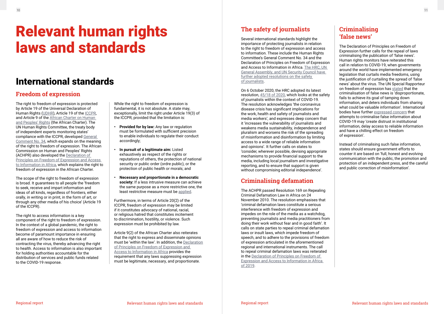### International standards

### **Freedom of expression**

The right to freedom of expression is protected by Article 19 of the Universal Declaration of Human Rights ([UDHR](https://www.un.org/en/about-us/universal-declaration-of-human-rights)), Article 19 of the [ICCPR](https://www.ohchr.org/EN/ProfessionalInterest/Pages/CCPR.aspx), and Article 9 of the [African Charter on Human](https://www.achpr.org/legalinstruments/detail?id=49)  [and Peoples' Rights](https://www.achpr.org/legalinstruments/detail?id=49) (the African Charter). The UN Human Rights Committee, the treaty body of independent experts monitoring states' compliance with the ICCPR, developed [General](https://www2.ohchr.org/english/bodies/hrc/docs/gc34.pdf)  [Comment No. 34,](https://www2.ohchr.org/english/bodies/hrc/docs/gc34.pdf) which expands on the meaning of the right to freedom of expression. The African Commission on Human and Peoples' Rights (ACHPR) also developed the [Declaration of](https://www.achpr.org/legalinstruments/detail?id=69)  [Principles on Freedom of Expression and Access](https://www.achpr.org/legalinstruments/detail?id=69)  [to Information in Africa](https://www.achpr.org/legalinstruments/detail?id=69), which explains the right to freedom of expression in the African Charter.

The scope of the right to freedom of expression is broad. It guarantees to all people the 'freedom to seek, receive and impart information and ideas of all kinds, regardless of frontiers, either orally, in writing or in print, in the form of art, or through any other media of his choice' (Article 19 of the ICCPR).

The right to access information is a key component of the right to freedom of expression. In the context of a global pandemic, the right to freedom of expression and access to information become of paramount importance in ensuring all are aware of how to reduce the risk of contracting the virus, thereby advancing the right to health. Access to information is also important for holding authorities accountable for the distribution of services and public funds related to the COVID-19 response.

While the right to freedom of expression is fundamental, it is not absolute. A state may, exceptionally, limit the right under Article 19(3) of the ICCPR, provided that the limitation is:

- **Provided for by law:** Any law or regulation must be formulated with sufficient precision to enable individuals to regulate their conduct accordingly;
- **In pursuit of a legitimate aim:** Listed exhaustively as respect of the rights or reputations of others, the protection of national security or public order (ordre public), or the protection of public health or morals; and
- **Necessary and proportionate in a democratic society:** If a less intrusive measure can achieve the same purpose as a more restrictive one, the least restrictive measure must be [applied.](http://hrlibrary.umn.edu/undocs/1022-2001.html)

Furthermore, in terms of Article 20(2) of the ICCPR, freedom of expression may be limited if it constitutes advocacy of national, racial, or religious hatred that constitutes incitement to discrimination, hostility, or violence. Such expression must be prohibited by law.

Article 9(2) of the African Charter also reiterates that the right to express and disseminate opinions must be 'within the law'. In addition, the [Declaration](https://www.achpr.org/legalinstruments/detail?id=69#:~:text=The%20Declaration%20establishes%20or%20affirms,to%20express%20and%20disseminate%20information.) [of Principles on Freedom of Expression and](https://www.achpr.org/legalinstruments/detail?id=69#:~:text=The%20Declaration%20establishes%20or%20affirms,to%20express%20and%20disseminate%20information.)  [Access to Information in Africa](https://www.achpr.org/legalinstruments/detail?id=69#:~:text=The%20Declaration%20establishes%20or%20affirms,to%20express%20and%20disseminate%20information.) provides the requirement that any laws suppressing expression must be legitimate, necessary, and proportionate.

### **The safety of journalists**

Several international standards highlight the importance of protecting journalists in relation to the right to freedom of expression and access to information. These include the Human Rights Committee's General Comment No. 34 and the Declaration of Principles on Freedom of Expression and Access to Information in Africa. [The HRC, UN](https://www.ohchr.org/EN/Issues/SafetyOfJournalists/Pages/resolutions.aspx)  [General Assembly, and UN Security Council have](https://www.ohchr.org/EN/Issues/SafetyOfJournalists/Pages/resolutions.aspx)  [further adopted resolutions on the safety](https://www.ohchr.org/EN/Issues/SafetyOfJournalists/Pages/resolutions.aspx)  [of journalists](https://www.ohchr.org/EN/Issues/SafetyOfJournalists/Pages/resolutions.aspx).

On 6 October 2020, the HRC adopted its latest resolution, [45/18 of 2020,](https://undocs.org/en/A/HRC/RES/45/18) which looks at the safety of journalists within the context of COVID-19. The resolution acknowledges 'the coronavirus disease crisis has significant implications for the work, health and safety of journalists and media workers', and expresses deep concern that it 'increases the vulnerability of journalists and weakens media sustainability, independence and pluralism and worsens the risk of the spreading of misinformation and disinformation by limiting access to a wide range of reliable information and opinions'. It further calls on states to 'consider, wherever possible, devising appropriate mechanisms to provide financial support to the media, including local journalism and investigative reporting, and to ensure that support is given without compromising editorial independence'.

### **Criminalising defamation**

The ACHPR passed Resolution 169 on Repealing Criminal Defamation Law in Africa on 24 November 2010. The resolution emphasises that 'criminal defamation laws constitute a serious interference with freedom of expression and impedes on the role of the media as a watchdog, preventing journalists and media practitioners from doing their work without fear and in good faith'. It calls on state parties to repeal criminal defamation laws or insult laws, which impede freedom of speech, and to adhere to the provisions of freedom of expression articulated in the aforementioned regional and international instruments. The call to repeal criminal defamation laws was reiterated in the [Declaration of Principles on Freedom of](https://www.achpr.org/legalinstruments/detail?id=69)  [Expression and Access to Information in Africa](https://www.achpr.org/legalinstruments/detail?id=69)  [of 2019](https://www.achpr.org/legalinstruments/detail?id=69).

### **Criminalising 'false news'**

The Declaration of Principles on Freedom of Expression further calls for the repeal of laws criminalising the publication of 'false news'. Human rights monitors have reiterated this call in relation to COVID-19, when governments around the world have implemented emergency legislation that curtails media freedoms, using the justification of curtailing the spread of 'false news' about the virus. The UN Special Rapporteur on freedom of expression has [stated](https://undocs.org/A/HRC/44/49) that the criminalisation of false news is 'disproportionate, fails to achieve its goal of tamping down information, and deters individuals from sharing what could be valuable information'. International bodies have further [expressed concern](https://www.ohchr.org/EN/NewsEvents/Pages/DisplayNews.aspx?NewsID=25729) that attempts to criminalise false information about COVID-19 may 'create distrust in institutional information, delay access to reliable information and have a chilling effect on freedom of expression'.

Instead of criminalising such false information, states should ensure government efforts to counter it are based on 'full, honest and evolving communication with the public, the promotion and protection of an independent press, and the careful and public correction of misinformation'.

# <span id="page-5-0"></span>Relevant human rights laws and standards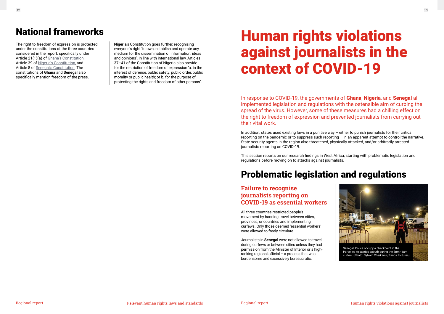The right to freedom of expression is protected under the constitutions of the three countries considered in the report, specifically under Article 21(1)(a) of [Ghana's Constitution](https://www.constituteproject.org/constitution/Ghana_1996.pdf), Article 39 of [Nigeria's Constitution](http://www.nigeria-law.org/ConstitutionOfTheFederalRepublicOfNigeria.htm), and Article 8 of [Senegal's Constitution.](https://www.constituteproject.org/constitution/Senegal_2016.pdf?lang=en) The constitutions of **Ghana** and **Senegal** also specifically mention freedom of the press.

**Nigeria**'s Constitution goes further, recognising everyone's right 'to own, establish and operate any medium for the dissemination of information, ideas and opinions'. In line with international law, Articles 37–41 of the Constitution of Nigeria also provide for the restriction of freedom of expression 'a. in the interest of defense, public safety, public order, public morality or public health; or b. for the purpose of protecting the rights and freedom of other persons'.

In response to COVID-19, the governments of **Ghana**, **Nigeria**, and **Senegal** all implemented legislation and regulations with the ostensible aim of curbing the spread of the virus. However, some of these measures had a chilling effect on the right to freedom of expression and prevented journalists from carrying out their vital work.

In addition, states used existing laws in a punitive way – either to punish journalists for their critical reporting on the pandemic or to suppress such reporting – in an apparent attempt to control the narrative. State security agents in the region also threatened, physically attacked, and/or arbitrarily arrested journalists reporting on COVID-19.

This section reports on our research findings in West Africa, starting with problematic legislation and regulations before moving on to attacks against journalists.

# Human rights violations against journalists in the context of COVID-19

### <span id="page-6-0"></span>National frameworks

## Problematic legislation and regulations

**Failure to recognise journalists reporting on COVID-19 as essential workers**

All three countries restricted people's movement by banning travel between cities, provinces, or countries and implementing curfews. Only those deemed 'essential workers' were allowed to freely circulate.

Journalists in **Senegal** were not allowed to travel during curfews or between cities unless they had permission from the Minister of Interior or a highranking regional official  $-$  a process that was burdensome and excessively bureaucratic.

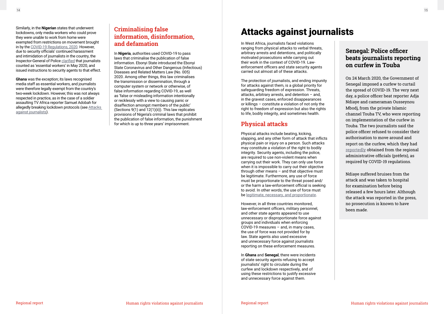<span id="page-7-0"></span>Similarly, in the **Nigerian** states that underwent lockdowns, only media workers who could prove they were unable to work from home were exempted from restrictions on movement brought in by the [COVID-19 Regulations, 2020.](https://nipc.gov.ng/wp-content/uploads/2020/04/COVID-19_REGULATIONS_2020_20200330214102.pdf?) However, due to security officials' continued harassment and intimidation of journalists in the country, the Inspector-General of Polic[e clarified](https://guardian.ng/features/covid-19-intimidation-harassment-detention-of-journalists-surge-in-nigeria/) that journalists counted as 'essential workers' in May 2020, and issued instructions to security agents to that effect.

**Ghana** was the exception; its laws recognised media staff as essential workers, and journalists were therefore legally exempt from the country's two-week lockdown. However, this was not always respected in practice, as in the case of a soldier assaulting TV Africa reporter Samuel Adobah for allegedly breaking lockdown protocols (see Attacks against journalists).

### **Criminalising false information, disinformation, and defamation**

In **Nigeria**, authorities used COVID-19 to pass laws that criminalise the publication of false information. Ebonyi State introduced the Ebonyi State Coronavirus and Other Dangerous (Infectious) Diseases and Related Matters Law (No. 005) 2020. Among other things, this law criminalises the transmission or dissemination, through a computer system or network or otherwise, of false information regarding COVID-19, as well as 'false or misleading information intentionally or recklessly with a view to causing panic or disaffection amongst members of the public' (Sections 9(1) and 12(1)(ii)). This law replicates provisions of Nigeria's criminal laws that prohibit the publication of false information, the punishment for which is up to three years' imprisonment.

In West Africa, journalists faced violations ranging from physical attacks to verbal threats, arbitrary arrests and detentions, and politically motivated prosecutions while carrying out their work in the context of COVID-19. Lawenforcement officers and state security agents carried out almost all of these attacks.

The protection of journalists, and ending impunity for attacks against them, is a global priority for safeguarding freedom of expression. Threats, attacks, arbitrary arrests, and detention – and, in the gravest cases, enforced disappearances or killings – constitute a violation of not only the right to freedom of expression but also the rights to life, bodily integrity, and sometimes health.

### **Physical attacks**

Physical attacks include beating, kicking, slapping, and any other form of attack that inflicts physical pain or injury on a person. Such attacks may constitute a violation of the right to bodily integrity. Security agents, including the police, are required to use non-violent means when carrying out their work. They can only use force when it is impossible to carry out their objective through other means – and that objective must be legitimate. Furthermore, any use of force must be proportionate to the threat posed and/ or the harm a law-enforcement official is seeking to avoid. In other words, the use of force must be [legitimate, necessary, and proportionate](https://www.ohchr.org/en/professionalinterest/pages/useofforceandfirearms.aspx).

However, in all three countries monitored, law-enforcement officers, military personnel, and other state agents appeared to use unnecessary or disproportionate force against groups and individuals when enforcing COVID-19 measures – and, in many cases, the use of force was not provided for by law. State agents also used excessive and unnecessary force against journalists reporting on these enforcement measures.

In **Ghana** and **Senegal**, there were incidents of state security agents refusing to accept journalists' right to circulate during the curfew and lockdown respectively, and of using these restrictions to justify excessive and unnecessary force against them.

## Attacks against journalists

#### **Senegal: Police officer beats journalists reporting on curfew in Touba**

On 24 March 2020, the Government of Senegal imposed a curfew to curtail the spread of COVID-19. The very next day, a police officer beat reporter Adja Ndiaye and cameraman Ousseynou Mbodj, from the private Islamic channel Touba TV, who were reporting on implementation of the curfew in Touba. The two journalists said the police officer refused to consider their authorisation to move around and report on the curfew, which they had [reportedly](https://senego.com/couvre-feu-a-touba-une-journaliste-et-son-cameraman-tabasses_1063649.html) obtained from the regional administrative officials (préfets), as required by COVID-19 regulations.

Ndiaye suffered bruises from the attack and was taken to hospital for examination before being released a few hours later. Although the attack was reported in the press, no prosecution is known to have been made.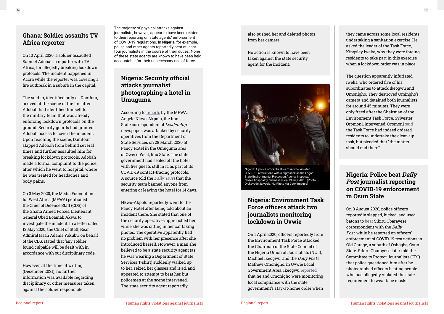The majority of physical attacks against journalists, however, appear to have been related to their reporting on state agents' enforcement of COVID-19 regulations. In **Nigeria**, for example, police and other agents reportedly beat at least four journalists in the course of their duties. None of these state agents are known to have been held accountable for their unnecessary use of force.

### **Ghana: Soldier assaults TV Africa reporter**

On 10 April 2020, a soldier assaulted Samuel Adobah, a reporter with TV Africa, for allegedly breaking lockdown protocols. The incident happened in Accra while the reporter was covering a fire outbreak in a suburb in the capital.

The soldier, identified only as Damfour, arrived at the scene of the fire after Adobah had identified himself to the military team that was already enforcing lockdown protocols on the ground. Security guards had granted Adobah access to cover the incident. Upon reaching the scene, Damfour slapped Adobah from behind several times and further assaulted him for breaking lockdown protocols. Adobah made a formal complaint to the police, after which he went to hospital, where he was treated for headaches and body pains.

On 3 May 2020, the Media Foundation for West Africa (MFWA) petitioned the Chief of Defence Staff (CDS) of the Ghana Armed Forces, Lieutenant General Obed Boamah Akwa, to investigate the incident. In a letter dated 13 May 2020, the Chief of Staff, Rear Admiral Issah Adams Yakubu, on behalf of the CDS, stated that 'any soldier found culpable will be dealt with in accordance with our disciplinary code'.

However, at the time of writing (December 2021), no further information was available regarding disciplinary or other measures taken against the soldier responsible.

### **Nigeria: Security official attacks journalist photographing a hotel in Umuguma**

According to [reports](https://www.mfwa.org/country-highlights/nigerian-security-forces-censor-coverage-of-covid-19-obstruct-delivery-of-newspapers/) by the MFWA, Angela Nkwo-Akpolu, the Imo State correspondent of Leadership newspaper, was attacked by security operatives from the Department of State Services on 28 March 2020 at Fancy Hotel in the Umuguma area of Owerri West, Imo State. The state government had sealed off the hotel, with five guests still in it, as part of its COVID-19 contact-tracing protocols. A source told the [Daily Trust](https://dailytrust.com/amp/journalist-attacked-as-security-seals-off-owerri-hotel-suspected-for-covid-19) that the security team banned anyone from entering or leaving the hotel for 14 days.

Nkwo-Akpolu reportedly went to the Fancy Hotel after being told about an incident there. She stated that one of the security operatives approached her while she was sitting in her car taking photos. The operative apparently had no problem with her presence after she introduced herself. However, a man she believed to be a state security agent (as he was wearing a Department of State Services T-shirt) suddenly walked up to her, seized her glasses and iPad, and appeared to attempt to beat her, but policemen at the scene intervened. The state security agent reportedly

#### **Nigeria: Police beat Daily Post journalist reporting on COVID-19 enforcement in Osun State**

On 3 August 2020, police officers reportedly slapped, kicked, and used batons to [beat](https://cpj.org/2020/08/nigerian-journalist-sikiru-obarayese-attacked-by-police-while-covering-covid-19-lockdown/) Sikiru Obarayese, correspondent with the Daily Post, while he reported on officers' enforcement of COVID-19 restrictions in Old Garage, a suburb of Oshogbo, Osun State. Sikiru Obarayese later told the Committee to Protect Journalists (CPJ) that police questioned him after he photographed officers beating people who had allegedly violated the state requirement to wear face masks.

### **Nigeria: Environment Task Force officers attack two journalists monitoring lockdown in Uvwie**

On 1 April 2020, officers reportedly from the Environment Task Force attacked the Chairman of the State Council of the Nigeria Union of Journalists (NUJ), Michael Ikeogwu, and the *Daily Post's* Mathew Omonigho, in Uvwie Local Government Area. Ikeogwu [report](https://www.mfwa.org/country-highlights/covid-19-environmental-task-force-beat-journalists/)ed that he and Omonigho were monitoring local compliance with the state government's stay-at-home order when

also pushed her and deleted photos from her camera.

No action is known to have been taken against the state security agent for the incident.

they came across some local residents undertaking a sanitation exercise. He asked the leader of the Task Force, Kingsley Iweka, why they were forcing residents to take part in this exercise when a lockdown order was in place.

The question apparently infuriated Iweka, who ordered five of his subordinates to attack Ikeogwu and Omonigho. They destroyed Omingho's camera and detained both journalists for around 45 minutes. They were only freed after the Chairman of the Environment Task Force, Sylvester Oromoni, intervened. Oromoni [said](https://www.premiumtimesng.com/regional/south-south-regional/385321-covid-19-task-force-attacks-journalists-in-delta.html) the Task Force had indeed ordered residents to undertake the clean-up task, but pleaded that "the matter should end there".



Nigeria: A police officer beats a man who violated COVID-19 restrictions with a nightstick as the Lagos State Environmental Protection Agency inspects/ closes hospitality businesses on 19 July 2020. (Photo: Olukayode Jaiyeola/NurPhoto via Getty Images)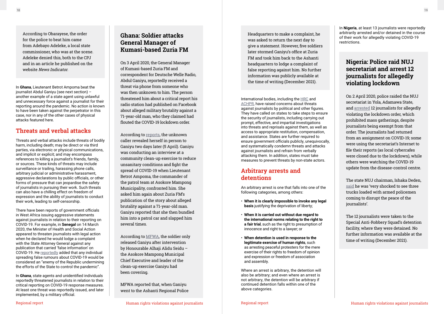In **Ghana**, Lieutenant Betrot Ampoma beat the journalist Abdul Ganiyu (see next section) – another example of a state agent using unlawful and unnecessary force against a journalist for their reporting around the pandemic. No action is known to have been taken against the perpetrator in this case, nor in any of the other cases of physical attacks featured here.

### **Threats and verbal attacks**

Threats and verbal attacks include threats of bodily harm, including death; may be direct or via third parties, via electronic or physical communications, and implicit or explicit; and may encompass references to killing a journalist's friends, family, or sources. These kinds of threats may include surveillance or trailing, harassing phone calls, arbitrary judicial or administrative harassment, aggressive declarations by public officials, or other forms of pressure that can jeopardise the safety of journalists in pursuing their work. Such threats can also have a chilling effect on freedom of expression and the ability of journalists to conduct their work, leading to self-censorship.

There have been reports of government officials in West Africa issuing aggressive statements against journalists in relation to their reporting on COVID-19. For example, in **Senegal** on 14 March 2020, the Minister of Health and Social Action appeared to threaten journalists with legal action when he declared he would lodge a complaint with the State Attorney General against any publication that carried 'false information' on COVID-19. He [reportedly](https://www.jeuneafrique.com/912549/societe/coronavirus-dakar-annonce-des-mesures-judiciaires-contre-les-diffuseurs-les-fake-news/) added that any individual spreading false rumours about COVID-19 would be considered an "enemy of the Republic undermining the efforts of the State to control the pandemic".

In **Ghana**, state agents and unidentified individuals reportedly threatened journalists in relation to their critical reporting on COVID-19 response measures. At least one threat was reportedly issued, and later implemented, by a military official.

International bodies, including the [HRC](https://digitallibrary.un.org/record/3888335/files/A_HRC_RES_45_18-EN.pdf) and [ACHPR,](https://www.achpr.org/legalinstruments/detail?id=69) have raised concerns about threats against journalists by political and other figures. They have called on states to take steps to ensure the security of journalists, including carrying out prompt, effective, and impartial investigations into threats and reprisals against them, as well as access to appropriate restitution, compensation, and assistance. States are further required to ensure government officials publicly, unequivocally, and systematically condemn threats and attacks against journalists and refrain from verbally attacking them. In addition, states must take measures to prevent threats by non-state actors.

### **Arbitrary arrests and detentions**

An arbitrary arrest is one that falls into one of the following categories, among others:

- **When it is clearly impossible to invoke any legal basis** justifying the deprivation of liberty;
- **When it is carried out without due regard to the international norms relating to the right to a fair trial**, such as the right to presumption of innocence and right to a lawyer; or
- **When detention is used in response to the legitimate exercise of human rights**, such as arresting peaceful protesters for the mere exercise of their rights to freedom of opinion and expression or freedom of association and assembly.

Where an arrest is arbitrary, the detention will also be arbitrary; and even where an arrest is not arbitrary, the detention will be arbitrary if continued detention falls within one of the above categories.

Headquarters to make a complaint, he was asked to return the next day to give a statement. However, five soldiers later stormed Ganiyu's office at Zuria FM and took him back to the Ashanti headquarters to lodge a complaint of false reporting against him. No further information was publicly available at the time of writing (December 2021).

#### **Nigeria: Police raid NUJ secretariat and arrest 12 journalists for allegedly violating lockdown**

On 2 April 2020, police raided the NUJ secretariat in Yola, Adamawa State, and [arrested](https://www.thisdaylive.com/index.php/2020/04/03/police-raid-nuj-secretariat-in-adamawa-arrest-12-journalists/) 12 journalists for allegedly violating the lockdown order, which prohibited mass gatherings, despite journalists being exempt from that order. The journalists had returned from an assignment on COVID-19; some were using the secretariat's Internet to file their reports (as local cybercafes were closed due to the lockdown), while others were watching the COVID-19 update from the disease-control centre.

The state NUJ chairman, Ishaka Deden, [said](https://www.thisdaylive.com/index.php/2020/04/03/police-raid-nuj-secretariat-in-adamawa-arrest-12-journalists/) he was 'very shocked to see three trucks loaded with armed policemen coming to disrupt the peace of the journalists'.

The 12 journalists were taken to the Special Anti-Robbery Squad's detention facility, where they were detained. No further information was available at the time of writing (December 2021).

#### **Ghana: Soldier attacks General Manager of Kumasi-based Zuria FM**

On 3 April 2020, the General Manager of Kumasi-based Zuria FM and correspondent for Deutsche Welle Radio, Abdul Ganiyu, reportedly received a threat via phone from someone who was then unknown to him. The person threatened him about a critical report his radio station had published on Facebook about alleged military brutality against a 71-year-old man, who they claimed had flouted the COVID-19 lockdown order.

According to [reports](https://www.mfwa.org/issues-in-focus/mfwa-condemns-assault-on-manager-of-zuria-fm-demands-accountability/), the unknown caller revealed herself in person to Ganiyu two days later (5 April). Ganiyu was conducting an interview at a community clean-up exercise to reduce unsanitary conditions and fight the spread of COVID-19 when Lieutenant Betrot Ampoma, the commander of the patrol team at Asokore Mampong Municipality, confronted him. She asked him again about Zuria FM's publication of the story about alleged brutality against a 71-year-old man. Ganiyu reported that she then bundled him into a patrol car and slapped him several times.

According to [MFWA,](https://www.mfwa.org/issues-in-focus/mfwa-condemns-assault-on-manager-of-zuria-fm-demands-accountability/) the soldier only released Ganiyu after intervention by Honourable Alhaji Alidu Seidu – the Asokore Mampong Municipal Chief Executive and leader of the clean-up exercise Ganiyu had been covering.

MFWA reported that, when Ganiyu went to the Ashanti Regional Police

<span id="page-9-0"></span>According to Obarayese, the order for the police to beat him came from Adebayo Adeleke, a local state commissioner, who was at the scene. Adeleke denied this, both to the CPJ and in [an article](https://www.newsindicator.com.ng/2020/08/03/osun-commissioner-denies-ordering-brutality-on-journalist/) he published on the website News Indicator.

In **Nigeria**, at least 13 journalists were reportedly arbitrarily arrested and/or detained in the course of their work for allegedly violating COVID-19 restrictions.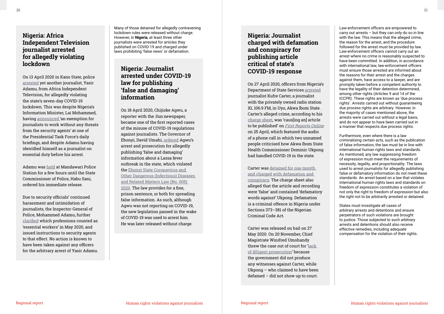### **Nigeria: Africa Independent Television journalist arrested for allegedly violating lockdown**

On 13 April 2020 in Kano State, police [arrested](https://ait.live/updated-ait-reporter-detained-in-kano-over-lockdown) yet another journalist, Yasir Adamu, from Africa Independent Television, for allegedly violating the state's seven-day COVID-19 lockdown. This was despite Nigeria's Information Minister, Lai Mohammed, having [announced '](https://www.premiumtimesng.com/news/top-news/389126-coronavirus-journalists-at-risk-as-health-workers-lai-mohammed.html)an exemption for journalists to work without any threats from the security agents' at one of the Presidential Task Force's daily briefings, and despite Adamu having identified himself as a journalist on essential duty before his arrest.

Adamu was [held](https://ait.live/updated-ait-reporter-detained-in-kano-over-lockdown/) at Mandawari Police Station for a few hours until the State Commissioner of Police, Habu Sani, ordered his immediate release.

Due to security officials' continued harassment and intimidation of journalists, the Inspector-General of Police, Mohammed Adamu, further [clarified](https://guardian.ng/features/covid-19-intimidation-harassment-detention-of-journalists-surge-in-nigeria/) which professions counted as 'essential workers' in May 2020, and issued instructions to security agents to that effect. No action is known to have been taken against any officers for the arbitrary arrest of Yasir Adamu.

### **Nigeria: Journalist arrested under COVID-19 law for publishing 'false and damaging' information**

On 18 April 2020, Chijioke Agwu, a reporter with the Sun newspaper. became one of the first reported cases of the misuse of COVID-19 regulations against journalists. The Governor of Ebonyi, David Umahi, [ordered](https://cpj.org/2020/04/nigerian-police-arrest-2-journalists-governor-canc/) Agwu's arrest and prosecution for allegedly publishing 'false and damaging' information about a Lassa fever outbreak in the state, which violated the [Ebonyi State Coronavirus and](https://www.facebook.com/atwanationalpage/posts/ebonyi-state-infectious-diseases-emergency-prevention-regulations-2020preamblewh/2564400920495240/)  [Other Dangerous \(Infectious\) Diseases](https://www.facebook.com/atwanationalpage/posts/ebonyi-state-infectious-diseases-emergency-prevention-regulations-2020preamblewh/2564400920495240/)  [and Related Matters Law \(No. 005\)](https://www.facebook.com/atwanationalpage/posts/ebonyi-state-infectious-diseases-emergency-prevention-regulations-2020preamblewh/2564400920495240/)  [2020](https://www.facebook.com/atwanationalpage/posts/ebonyi-state-infectious-diseases-emergency-prevention-regulations-2020preamblewh/2564400920495240/). The law provides for a fine, prison sentence, or both for spreading false information. As such, although Agwu was not reporting on COVID-19, the new legislation passed in the wake of COVID-19 was used to arrest him. He was later released without charge.

### **Nigeria: Journalist charged with defamation and conspiracy for publishing article critical of state's COVID-19 response**

On 27 April 2020, officers from Nigeria's Department of State Services [arrested](https://cpj.org/2020/05/nigerian-journalist-kufre-carter-detained-for-1-month-charged-with-defamation-and-conspiracy/) journalist Kufre Carter, a journalist with the privately owned radio station XL 106.9 FM, in Uyo, Akwa Ibom State. Carter's alleged crime, according to his [charge sheet,](https://cpj.org/2020/05/nigerian-journalist-kufre-carter-detained-for-1-month-charged-with-defamation-and-conspiracy/) was 'caus[ing an] article to be published' on [First Reports Online](https://firstreportsonline.com/leaked-audio-aks-health-comm-is-a-paracetamol-doctor-he-will-kill-us-all/) on 25 April, which featured the audio of a phone call in which two unnamed people criticised how Akwa Ibom State Health Commissioner Dominic Ukpong had handled COVID-19 in the state.

Carter was [detained for one month](https://cpj.org/2020/05/nigerian-journalist-kufre-carter-detained-for-1-month-charged-with-defamation-and-conspiracy/)  [and charged with defamation and](https://cpj.org/2020/05/nigerian-journalist-kufre-carter-detained-for-1-month-charged-with-defamation-and-conspiracy/)  [conspiracy.](https://cpj.org/2020/05/nigerian-journalist-kufre-carter-detained-for-1-month-charged-with-defamation-and-conspiracy/) The charge sheet also alleged that the article and recording were 'false' and contained 'defamatory words against' Ukpong. Defamation is a criminal offence in Nigeria under Sections 373–381 of the Nigerian Criminal Code Act.

Carter was released on bail on 27 May 2020. On 20 November, Chief Magistrate Winifred Umohandy threw the case out of court for ['lack](http://saharareporters.com/2020/11/20/court-throws-out-akwa-ibom-government-case-against-journalist-arrested-detained-%E2%80%98defaming)  [of diligent prosecution'](http://saharareporters.com/2020/11/20/court-throws-out-akwa-ibom-government-case-against-journalist-arrested-detained-%E2%80%98defaming) because the government did not produce any witnesses against Carter, while Ukpong – who claimed to have been defamed – did not show up to court.

Many of those detained for allegedly contravening lockdown rules were released without charge. However, in **Nigeria**, at least three other journalists were arrested for articles they published on COVID-19 and charged under laws prohibiting 'false news' or defamation.

Law-enforcement officers are empowered to carry out arrests – but they can only do so in line with the law. This means that the alleged crime, the reason for the arrest, and the procedure followed for the arrest must be provided by law. Law-enforcement officers cannot carry out an arrest where no crime is reasonably suspected to have been committed. In addition, in accordance with international law, law-enforcement officers must ensure those arrested are informed about the reasons for their arrest and the charges against them, have access to a lawyer, and are promptly taken before a competent authority to have the legality of their detention determined, among other rights (Articles 9 and 14 of the ICCPR). These rights are known as 'due process rights'. Arrests carried out without guaranteeing due process rights are arbitrary. However, in the majority of cases mentioned above, the arrests were carried out without a legal basis, and do not appear to have been carried out in a manner that respects due process rights.

Furthermore, even where there is a law criminalising certain acts, such as the publication of false information, the law must be in line with international human rights laws and standards. As mentioned, any law suppressing freedom of expression must meet the requirements of necessity, legality, and proportionality. The laws used to arrest journalists for allegedly publishing false or defamatory information do not meet these standards. An arrest based on a law that violates international human rights laws and standards on freedom of expression constitutes a violation of not only the right to freedom of expression but also the right not to be arbitrarily arrested or detained.

States must investigate all cases of arbitrary arrests and detentions and ensure perpetrators of such violations are brought to justice. Those subjected to such arbitrary arrests and detentions should also receive effective remedies, including adequate compensation for the violation of their rights.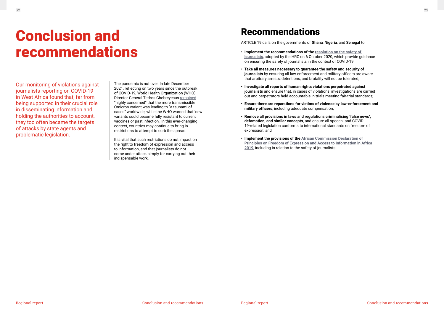Our monitoring of violations against journalists reporting on COVID-19 in West Africa found that, far from being supported in their crucial role in disseminating information and holding the authorities to account, they too often became the targets of attacks by state agents and problematic legislation.

The pandemic is not over. In late December 2021, reflecting on two years since the outbreak of COVID-19, World Health Organization (WHO) Director-General Tedros Ghebreyesus [remained](https://news.un.org/en/story/2021/12/1108932) "highly concerned" that the more transmissible Omicron variant was leading to "a tsunami of cases" worldwide, while the WHO warned that 'new variants could become fully resistant to current vaccines or past infection'. In this ever-changing context, countries may continue to bring in restrictions to attempt to curb the spread.

It is vital that such restrictions do not impact on the right to freedom of expression and access to information, and that journalists do not come under attack simply for carrying out their indispensable work.

# <span id="page-11-0"></span>Conclusion and recommendations

### Recommendations

ARTICLE 19 calls on the governments of **Ghana**, **Nigeria**, and **Senegal** to:

- **Implement the recommendations of the [resolution on the safety of](https://digitallibrary.un.org/record/3888335/files/A_HRC_RES_45_18-EN.pdf)  [journalists](https://digitallibrary.un.org/record/3888335/files/A_HRC_RES_45_18-EN.pdf)**, adopted by the HRC on 6 October 2020, which provide guidance on ensuring the safety of journalists in the context of COVID-19;
- **Take all measures necessary to guarantee the safety and security of journalists** by ensuring all law-enforcement and military officers are aware that arbitrary arrests, detentions, and brutality will not be tolerated;
- **Investigate all reports of human rights violations perpetrated against journalists** and ensure that, in cases of violations, investigations are carried out and perpetrators held accountable in trials meeting fair-trial standards;
- **Ensure there are reparations for victims of violence by law-enforcement and military officers**, including adequate compensation;
- **Remove all provisions in laws and regulations criminalising 'false news', defamation, and similar concepts**, and ensure all speech- and COVID-19-related legislation conforms to international standards on freedom of expression; and
- **Implement the provisions of the [African Commission Declaration of](https://www.achpr.org/legalinstruments/detail?id=69)  [Principles on Freedom of Expression and Access to Information in Africa](https://www.achpr.org/legalinstruments/detail?id=69)  [2019](https://www.achpr.org/legalinstruments/detail?id=69)**, including in relation to the safety of journalists.

#### Conclusion and recommendations